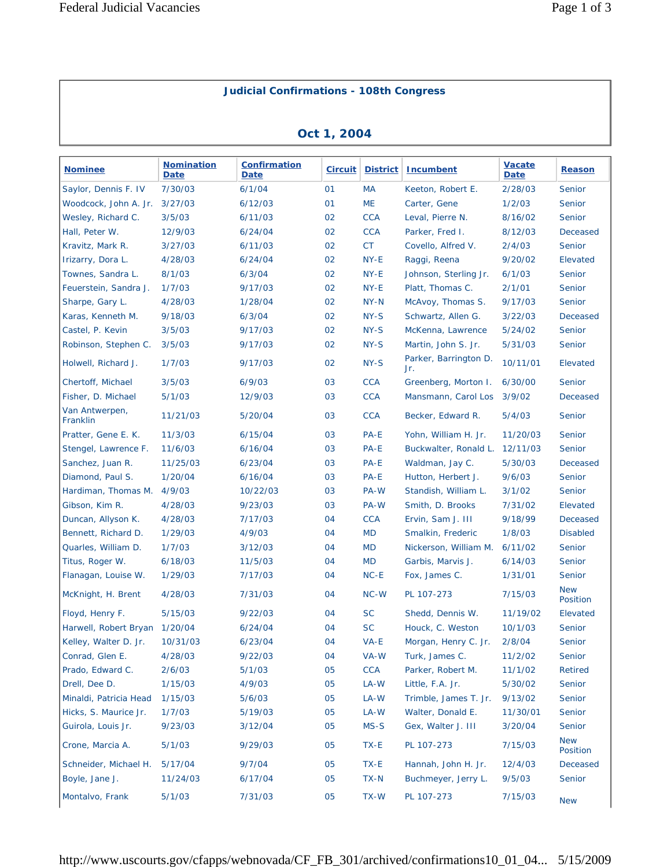## **Judicial Confirmations - 108th Congress**

## **Oct 1, 2004**

| <b>Nominee</b>             | <b>Nomination</b><br><b>Date</b> | <b>Confirmation</b><br><b>Date</b> | <b>Circuit</b> | <b>District</b> | Incumbent                    | <b>Vacate</b><br><b>Date</b> | Reason                 |
|----------------------------|----------------------------------|------------------------------------|----------------|-----------------|------------------------------|------------------------------|------------------------|
| Saylor, Dennis F. IV       | 7/30/03                          | 6/1/04                             | 01             | МA              | Keeton, Robert E.            | 2/28/03                      | Senior                 |
| Woodcock, John A. Jr.      | 3/27/03                          | 6/12/03                            | 01             | <b>ME</b>       | Carter, Gene                 | 1/2/03                       | Senior                 |
| Wesley, Richard C.         | 3/5/03                           | 6/11/03                            | 02             | <b>CCA</b>      | Leval, Pierre N.             | 8/16/02                      | Senior                 |
| Hall, Peter W.             | 12/9/03                          | 6/24/04                            | 02             | <b>CCA</b>      | Parker, Fred I.              | 8/12/03                      | <b>Deceased</b>        |
| Kravitz, Mark R.           | 3/27/03                          | 6/11/03                            | 02             | <b>CT</b>       | Covello, Alfred V.           | 2/4/03                       | Senior                 |
| Irizarry, Dora L.          | 4/28/03                          | 6/24/04                            | 02             | NY-E            | Raggi, Reena                 | 9/20/02                      | Elevated               |
| Townes, Sandra L.          | 8/1/03                           | 6/3/04                             | 02             | NY-E            | Johnson, Sterling Jr.        | 6/1/03                       | Senior                 |
| Feuerstein, Sandra J.      | 1/7/03                           | 9/17/03                            | 02             | NY-E            | Platt, Thomas C.             | 2/1/01                       | Senior                 |
| Sharpe, Gary L.            | 4/28/03                          | 1/28/04                            | 02             | NY-N            | McAvoy, Thomas S.            | 9/17/03                      | Senior                 |
| Karas, Kenneth M.          | 9/18/03                          | 6/3/04                             | 02             | NY-S            | Schwartz, Allen G.           | 3/22/03                      | Deceased               |
| Castel, P. Kevin           | 3/5/03                           | 9/17/03                            | 02             | NY-S            | McKenna, Lawrence            | 5/24/02                      | Senior                 |
| Robinson, Stephen C.       | 3/5/03                           | 9/17/03                            | 02             | NY-S            | Martin, John S. Jr.          | 5/31/03                      | Senior                 |
| Holwell, Richard J.        | 1/7/03                           | 9/17/03                            | 02             | NY-S            | Parker, Barrington D.<br>Jr. | 10/11/01                     | Elevated               |
| Chertoff, Michael          | 3/5/03                           | 6/9/03                             | 03             | <b>CCA</b>      | Greenberg, Morton I.         | 6/30/00                      | Senior                 |
| Fisher, D. Michael         | 5/1/03                           | 12/9/03                            | 03             | <b>CCA</b>      | Mansmann, Carol Los          | 3/9/02                       | Deceased               |
| Van Antwerpen,<br>Franklin | 11/21/03                         | 5/20/04                            | 03             | <b>CCA</b>      | Becker, Edward R.            | 5/4/03                       | Senior                 |
| Pratter, Gene E. K.        | 11/3/03                          | 6/15/04                            | 03             | PA-E            | Yohn, William H. Jr.         | 11/20/03                     | Senior                 |
| Stengel, Lawrence F.       | 11/6/03                          | 6/16/04                            | 03             | PA-E            | Buckwalter, Ronald L.        | 12/11/03                     | Senior                 |
| Sanchez, Juan R.           | 11/25/03                         | 6/23/04                            | 03             | PA-E            | Waldman, Jay C.              | 5/30/03                      | Deceased               |
| Diamond, Paul S.           | 1/20/04                          | 6/16/04                            | 03             | PA-E            | Hutton, Herbert J.           | 9/6/03                       | Senior                 |
| Hardiman, Thomas M.        | 4/9/03                           | 10/22/03                           | 03             | PA-W            | Standish, William L.         | 3/1/02                       | Senior                 |
| Gibson, Kim R.             | 4/28/03                          | 9/23/03                            | 03             | PA-W            | Smith, D. Brooks             | 7/31/02                      | Elevated               |
| Duncan, Allyson K.         | 4/28/03                          | 7/17/03                            | 04             | <b>CCA</b>      | Ervin, Sam J. III            | 9/18/99                      | Deceased               |
| Bennett, Richard D.        | 1/29/03                          | 4/9/03                             | 04             | <b>MD</b>       | Smalkin, Frederic            | 1/8/03                       | <b>Disabled</b>        |
| Quarles, William D.        | 1/7/03                           | 3/12/03                            | 04             | <b>MD</b>       | Nickerson, William M.        | 6/11/02                      | Senior                 |
| Titus, Roger W.            | 6/18/03                          | 11/5/03                            | 04             | <b>MD</b>       | Garbis, Marvis J.            | 6/14/03                      | Senior                 |
| Flanagan, Louise W.        | 1/29/03                          | 7/17/03                            | 04             | $NC-E$          | Fox, James C.                | 1/31/01                      | Senior                 |
| McKnight, H. Brent         | 4/28/03                          | 7/31/03                            | 04             | $NC-W$          | PL 107-273                   | 7/15/03                      | <b>New</b><br>Position |
| Floyd, Henry F.            | 5/15/03                          | 9/22/03                            | 04             | <b>SC</b>       | Shedd, Dennis W.             | 11/19/02                     | Elevated               |
| Harwell, Robert Bryan      | 1/20/04                          | 6/24/04                            | 04             | <b>SC</b>       | Houck, C. Weston             | 10/1/03                      | Senior                 |
| Kelley, Walter D. Jr.      | 10/31/03                         | 6/23/04                            | 04             | VA-E            | Morgan, Henry C. Jr.         | 2/8/04                       | Senior                 |
| Conrad, Glen E.            | 4/28/03                          | 9/22/03                            | 04             | VA-W            | Turk, James C.               | 11/2/02                      | Senior                 |
| Prado, Edward C.           | 2/6/03                           | 5/1/03                             | 05             | <b>CCA</b>      | Parker, Robert M.            | 11/1/02                      | Retired                |
| Drell, Dee D.              | 1/15/03                          | 4/9/03                             | 05             | LA-W            | Little, F.A. Jr.             | 5/30/02                      | Senior                 |
| Minaldi, Patricia Head     | 1/15/03                          | 5/6/03                             | 05             | LA-W            | Trimble, James T. Jr.        | 9/13/02                      | Senior                 |
| Hicks, S. Maurice Jr.      | 1/7/03                           | 5/19/03                            | 05             | LA-W            | Walter, Donald E.            | 11/30/01                     | Senior                 |
| Guirola, Louis Jr.         | 9/23/03                          | 3/12/04                            | 05             | MS-S            | Gex, Walter J. III           | 3/20/04                      | Senior                 |
| Crone, Marcia A.           | 5/1/03                           | 9/29/03                            | 05             | $TX-E$          | PL 107-273                   | 7/15/03                      | <b>New</b><br>Position |
| Schneider, Michael H.      | 5/17/04                          | 9/7/04                             | 05             | TX-E            | Hannah, John H. Jr.          | 12/4/03                      | Deceased               |
| Boyle, Jane J.             | 11/24/03                         | 6/17/04                            | 05             | TX-N            | Buchmeyer, Jerry L.          | 9/5/03                       | Senior                 |
| Montalvo, Frank            | 5/1/03                           | 7/31/03                            | 05             | TX-W            | PL 107-273                   | 7/15/03                      | <b>New</b>             |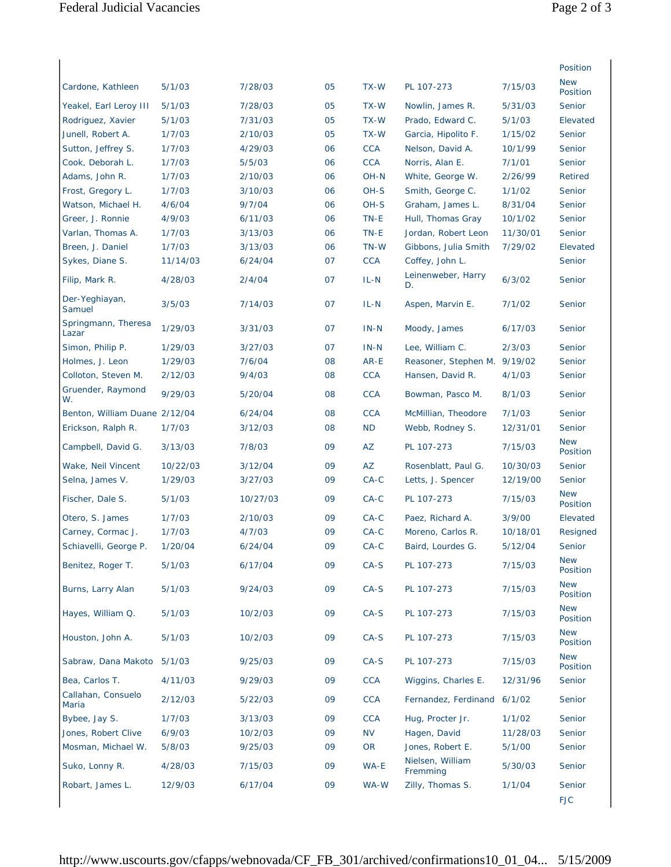|                               |          |          |    |            |                              |          | Position               |
|-------------------------------|----------|----------|----|------------|------------------------------|----------|------------------------|
| Cardone, Kathleen             |          | 7/28/03  | 05 | TX-W       | PL 107-273                   |          | <b>New</b>             |
|                               | 5/1/03   |          |    |            |                              | 7/15/03  | Position               |
| Yeakel, Earl Leroy III        | 5/1/03   | 7/28/03  | 05 | TX-W       | Nowlin, James R.             | 5/31/03  | Senior                 |
| Rodriguez, Xavier             | 5/1/03   | 7/31/03  | 05 | TX-W       | Prado, Edward C.             | 5/1/03   | Elevated               |
| Junell, Robert A.             | 1/7/03   | 2/10/03  | 05 | TX-W       | Garcia, Hipolito F.          | 1/15/02  | Senior                 |
| Sutton, Jeffrey S.            | 1/7/03   | 4/29/03  | 06 | <b>CCA</b> | Nelson, David A.             | 10/1/99  | Senior                 |
| Cook, Deborah L.              | 1/7/03   | 5/5/03   | 06 | <b>CCA</b> | Norris, Alan E.              | 7/1/01   | Senior                 |
| Adams, John R.                | 1/7/03   | 2/10/03  | 06 | OH-N       | White, George W.             | 2/26/99  | <b>Retired</b>         |
| Frost, Gregory L.             | 1/7/03   | 3/10/03  | 06 | OH-S       | Smith, George C.             | 1/1/02   | Senior                 |
| Watson, Michael H.            | 4/6/04   | 9/7/04   | 06 | OH-S       | Graham, James L.             | 8/31/04  | Senior                 |
| Greer, J. Ronnie              | 4/9/03   | 6/11/03  | 06 | TN-E       | Hull, Thomas Gray            | 10/1/02  | Senior                 |
| Varlan, Thomas A.             | 1/7/03   | 3/13/03  | 06 | TN-E       | Jordan, Robert Leon          | 11/30/01 | Senior                 |
| Breen, J. Daniel              | 1/7/03   | 3/13/03  | 06 | TN-W       | Gibbons, Julia Smith         | 7/29/02  | Elevated               |
| Sykes, Diane S.               | 11/14/03 | 6/24/04  | 07 | <b>CCA</b> | Coffey, John L.              |          | Senior                 |
| Filip, Mark R.                | 4/28/03  | 2/4/04   | 07 | $IL-N$     | Leinenweber, Harry<br>D.     | 6/3/02   | Senior                 |
| Der-Yeghiayan,<br>Samuel      | 3/5/03   | 7/14/03  | 07 | IL-N       | Aspen, Marvin E.             | 7/1/02   | Senior                 |
| Springmann, Theresa<br>Lazar  | 1/29/03  | 3/31/03  | 07 | $IN-N$     | Moody, James                 | 6/17/03  | Senior                 |
| Simon, Philip P.              | 1/29/03  | 3/27/03  | 07 | $IN-N$     | Lee, William C.              | 2/3/03   | Senior                 |
| Holmes, J. Leon               | 1/29/03  | 7/6/04   | 08 | AR-E       | Reasoner, Stephen M. 9/19/02 |          | Senior                 |
| Colloton, Steven M.           | 2/12/03  | 9/4/03   | 08 | <b>CCA</b> | Hansen, David R.             | 4/1/03   | Senior                 |
| Gruender, Raymond<br>W.       | 9/29/03  | 5/20/04  | 08 | <b>CCA</b> | Bowman, Pasco M.             | 8/1/03   | Senior                 |
| Benton, William Duane 2/12/04 |          | 6/24/04  | 08 | <b>CCA</b> | McMillian, Theodore          | 7/1/03   | Senior                 |
| Erickson, Ralph R.            | 1/7/03   | 3/12/03  | 08 | <b>ND</b>  | Webb, Rodney S.              | 12/31/01 | Senior                 |
| Campbell, David G.            | 3/13/03  | 7/8/03   | 09 | <b>AZ</b>  | PL 107-273                   | 7/15/03  | <b>New</b><br>Position |
| Wake, Neil Vincent            | 10/22/03 | 3/12/04  | 09 | AZ         | Rosenblatt, Paul G.          | 10/30/03 | Senior                 |
| Selna, James V.               | 1/29/03  | 3/27/03  | 09 | $CA-C$     | Letts, J. Spencer            | 12/19/00 | Senior                 |
| Fischer, Dale S.              | 5/1/03   | 10/27/03 | 09 | $CA-C$     | PL 107-273                   | 7/15/03  | <b>New</b><br>Position |
| Otero, S. James               | 1/7/03   | 2/10/03  | 09 | $CA-C$     | Paez, Richard A.             | 3/9/00   | Elevated               |
| Carney, Cormac J.             | 1/7/03   | 4/7/03   | 09 | $CA-C$     | Moreno, Carlos R.            | 10/18/01 | Resigned               |
| Schiavelli, George P.         | 1/20/04  | 6/24/04  | 09 | $CA-C$     | Baird, Lourdes G.            | 5/12/04  | Senior                 |
| Benitez, Roger T.             | 5/1/03   | 6/17/04  | 09 | $CA-S$     | PL 107-273                   | 7/15/03  | <b>New</b><br>Position |
| Burns, Larry Alan             | 5/1/03   | 9/24/03  | 09 | $CA-S$     | PL 107-273                   | 7/15/03  | <b>New</b><br>Position |
| Hayes, William Q.             | 5/1/03   | 10/2/03  | 09 | $CA-S$     | PL 107-273                   | 7/15/03  | <b>New</b><br>Position |
| Houston, John A.              | 5/1/03   | 10/2/03  | 09 | $CA-S$     | PL 107-273                   | 7/15/03  | <b>New</b><br>Position |
| Sabraw, Dana Makoto 5/1/03    |          | 9/25/03  | 09 | $CA-S$     | PL 107-273                   | 7/15/03  | <b>New</b><br>Position |
| Bea, Carlos T.                | 4/11/03  | 9/29/03  | 09 | <b>CCA</b> | Wiggins, Charles E.          | 12/31/96 | Senior                 |
| Callahan, Consuelo<br>Maria   | 2/12/03  | 5/22/03  | 09 | <b>CCA</b> | Fernandez, Ferdinand 6/1/02  |          | Senior                 |
| Bybee, Jay S.                 | 1/7/03   | 3/13/03  | 09 | <b>CCA</b> | Hug, Procter Jr.             | 1/1/02   | Senior                 |
| Jones, Robert Clive           | 6/9/03   | 10/2/03  | 09 | <b>NV</b>  | Hagen, David                 | 11/28/03 | Senior                 |
| Mosman, Michael W.            | 5/8/03   | 9/25/03  | 09 | <b>OR</b>  | Jones, Robert E.             | 5/1/00   | Senior                 |
| Suko, Lonny R.                | 4/28/03  | 7/15/03  | 09 | WA-E       | Nielsen, William<br>Fremming | 5/30/03  | Senior                 |
| Robart, James L.              | 12/9/03  | 6/17/04  | 09 | WA-W       | Zilly, Thomas S.             | 1/1/04   | Senior                 |
|                               |          |          |    |            |                              |          | <b>FJC</b>             |